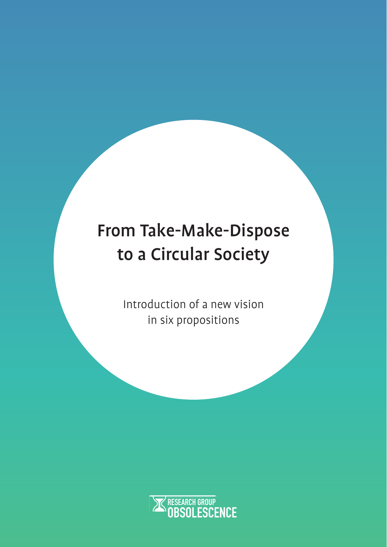# From Take-Make-Dispose to a Circular Society

Introduction of a new vision in six propositions

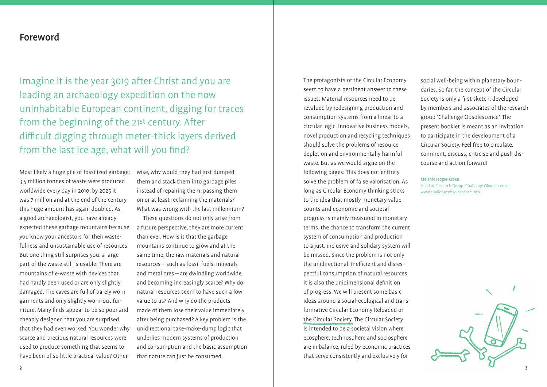The protagonists of the Circular Economy seem to have a pertinent answer to these issues: Material resources need to be revalued by redesigning production and consumption systems from a linear to a circular logic. Innovative business models, novel production and recycling techniques should solve the problems of resource depletion and environmentally harmful waste. But as we would argue on the following pages: This does not entirely solve the problem of false valorisation. As long as Circular Economy thinking sticks to the idea that mostly monetary value counts and economic and societal progress is mainly measured in monetary terms, the chance to transform the current system of consumption and production to a just, inclusive and solidary system will be missed. Since the problem is not only the unidirectional, inefficient and disrespectful consumption of natural resources, it is also the unidimensional definition of progress. We will present some basic ideas around a social-ecological and transformative Circular Economy Reloaded or the Circular Society. The Circular Society is intended to be a societal vision where ecosphere, technosphere and sociosphere are in balance, ruled by economic practices that serve consistently and exclusively for

social well-being within planetary boundaries. So far, the concept of the Circular Society is only a first sketch, developed by members and associates of the research group 'Challenge Obsolescence'. The present booklet is meant as an invitation to participate in the development of a Circular Society. Feel free to circulate, comment, discuss, criticise and push discourse and action forward!

Imagine it is the year 3019 after Christ and you are leading an archaeology expedition on the now uninhabitable European continent, digging for traces from the beginning of the 21st century. After difficult digging through meter-thick layers derived from the last ice age, what will you find?

#### Melanie Jaeger-Erben

Head of Research Group 'Challenge Obsolescence' www.challengeobsolescence.info

Most likely a huge pile of fossilized garbage: 3.5 million tonnes of waste were produced worldwide every day in 2010, by 2025 it was 7 million and at the end of the century this huge amount has again doubled. As a good archaeologist, you have already expected these garbage mountains because you know your ancestors for their wastefulness and unsustainable use of resources. But one thing still surprises you: a large part of the waste still is usable. There are mountains of e-waste with devices that had hardly been used or are only slightly damaged. The caves are full of barely worn garments and only slightly worn-out furniture. Many finds appear to be so poor and cheaply designed that you are surprised that they had even worked. You wonder why scarce and precious natural resources were used to produce something that seems to have been of so little practical value? Otherwise, why would they had just dumped them and stack them into garbage piles instead of repairing them, passing them on or at least reclaiming the materials? What was wrong with the last millennium?

These questions do not only arise from a future perspective, they are more current than ever. How is it that the garbage mountains continue to grow and at the same time, the raw materials and natural resources — such as fossil fuels, minerals and metal ores — are dwindling worldwide and becoming increasingly scarce? Why do natural resources seem to have such a low value to us? And why do the products made of them lose their value immediately after being purchased? A key problem is the unidirectional take-make-dump logic that underlies modern systems of production and consumption and the basic assumption that nature can just be consumed.

#### Foreword

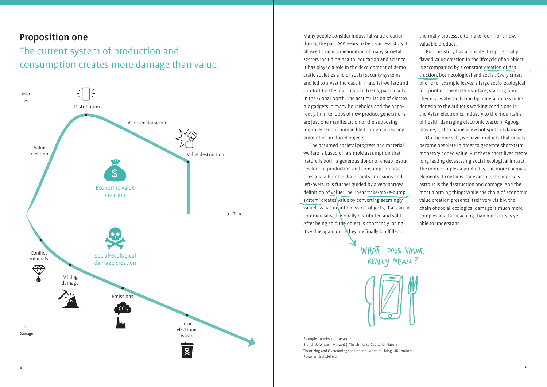## Proposition one

## The current system of production and consumption creates more damage than value.

Example for relevant literature: Brand, U.; Wissen, M. ( 2018 ). The Limits to Capitalist Nature Theorizing and Overcoming the Imperial Mode of Living. UK-London: Rowman & Littlefield.



The assumed societal progress and material welfare is based on a simple assumption that nature is both, a generous donor of cheap resources for our production and consumption practices and a humble drain for its emissions and left-overs. It is further guided by a very narrow definition of value: The linear 'take-make-dump system' creates value by converting seemingly valueless nature into physical objects, that can be com mercialised, globally distributed and sold. After being sold the object is constantly losing its value again until they are finally landfilled or



Many people consider industrial value creation during the past 200 years to be a success story: It allowed a rapid amelioration of many societal sectors including health, education and science. It has played a role in the development of democratic societies and of social security systems and led to a vast increase in material welfare and comfort for the majority of citizens, particularly in the Global North. The accumulation of electronic gadgets in many households and the apparently infinite loops of new product generations are just one manifestation of the supposing improvement of human life through increasing amount of produced objects.

But this story has a flipside. The potentially flawed value creation in the lifecycle of an object is accompanied by a constant creation of destruction, both ecological and social. Every smartphone for example leaves a large socio-ecological footprint on the earth's surface, starting from chemical water pollution by mineral mines in Indonesia to the arduous working conditions in the Asian electronics industry to the mountains of health-damaging electronic waste in Agbogbloshie, just to name a few hot spots of damage.

thermally processed to make room for a new, valuable product.

On the one side, we have products that rapidly become obsolete in order to generate short-term monetary added value. But these short lives create long lasting devastating social-ecological impact. The more complex a product is, the more chemical elements it contains, for example, the more disastrous is the destruction and damage. And the most alarming thing: While the chain of economic value creation presents itself very visibly, the chain of social-ecological damage is much more complex and far-reaching than humanity is yet able to understand.

4 5 5 and 20  $\sigma$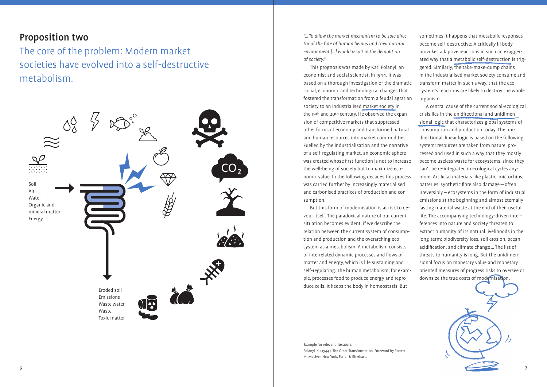#### Proposition two

The core of the problem: Modern market societies have evolved into a self-destructive metabolism.



Example for relevant literature: Polanyi, K. ( 1944 ). The Great Transformation. Foreword by Robert M. MacIver. New York: Farrar & Rinehart.

*"… To allow the market mechanism to be sole director of the fate of human beings and their natural environment [...]* would result in the demolition *of society."*

This prognosis was made by Karl Polanyi, an economist and social scientist, in 1944. It was based on a thorough investigation of the dramatic social, economic and technological changes that fostered the transformation from a feudal agrarian society to an industrialised market society in the 19th and 20th century. He observed the expansion of competitive markets that suppressed other forms of economy and transformed natural and human resources into market commodities. Fuelled by the industrialisation and the narrative of a self-regulating market, an economic sphere was created whose first function is not to increase the well-being of society but to maximize economic value. In the following decades this process was carried further by increasingly materialised and carbonised practices of production and consumption.

But this form of modernisation is at risk to devour itself. The paradoxical nature of our current situation becomes evident, if we describe the relation between the current system of consumption and production and the overarching ecosystem as a metabolism. A metabolism consists of interrelated dynamic processes and flows of matter and energy, which is life sustaining and self-regulating. The human metabolism, for example, processes food to produce energy and reproduce cells. It keeps the body in homeostasis. But

A central cause of the current social-ecological crisis lies in the unidirectional and unidimensional logic that characterizes global systems of consumption and production today. The unidirectional, linear logic is based on the following system: resources are taken from nature, processed and used in such a way that they mostly become useless waste for ecosystems, since they can't be re-integrated in ecological cycles anymore. Artificial materials like plastic, microchips, batteries, synthetic fibre also damage  $-$  often irreversibly — ecosystems in the form of industrial emissions at the beginning and almost eternally lasting material waste at the end of their useful life. The accompanying technology-driven interferences into nature and society threaten to extract humanity of its natural livelihoods in the long-term: biodiversity loss, soil erosion, ocean acidification, and climate change ... The list of threats to humanity is long. But the unidimensional focus on monetary value and monetary oriented measures of progress risks to oversee or downsize the true costs of modernisation.

sometimes it happens that metabolic responses become self-destructive: A critically ill body provokes adaptive reactions in such an exaggerated way that a metabolic self-destruction is triggered. Similarly, the take-make-dump chains in the industrialised market society consume and transform matter in such a way, that the ecosystem's reactions are likely to destroy the whole organism.

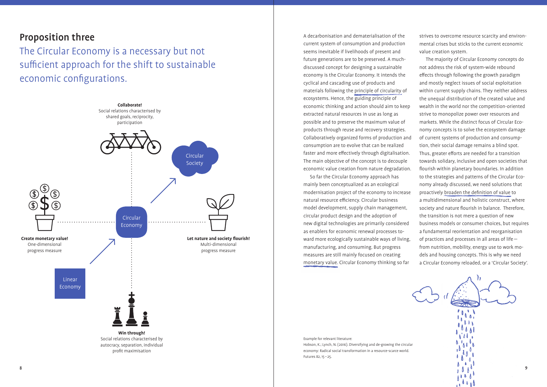A decarbonisation and dematerialisation of the current system of consumption and production seems inevitable if livelihoods of present and future generations are to be preserved. A muchdiscussed concept for designing a sustainable economy is the Circular Economy. It intends the cyclical and cascading use of products and materials following the principle of circularity of ecosystems. Hence, the guiding principle of economic thinking and action should aim to keep extracted natural resources in use as long as possible and to preserve the maximum value of products through reuse and recovery strategies. Collaboratively organized forms of production and consumption are to evolve that can be realized faster and more effectively through digitalisation. The main objective of the concept is to decouple economic value creation from nature degradation.

So far the Circular Economy approach has mainly been conceptualized as an ecological modernisation project of the economy to increase natural resource efficiency. Circular business model development, supply chain management, circular product design and the adoption of new digital technologies are primarily considered as enablers for economic renewal processes toward more ecologically sustainable ways of living, manufacturing, and consuming. But progress measures are still mainly focused on creating monetary value. Circular Economy thinking so far

strives to overcome resource scarcity and environmental crises but sticks to the current economic value creation system.

The Circular Economy is a necessary but not sufficient approach for the shift to sustainable economic configurations.

The majority of Circular Economy concepts do not address the risk of system-wide rebound effects through following the growth paradigm and mostly neglect issues of social exploitation within current supply chains. They neither address the unequal distribution of the created value and wealth in the world nor the competition-oriented strive to monopolize power over resources and markets. While the distinct focus of Circular Economy concepts is to solve the ecosystem damage of current systems of production and consumption, their social damage remains a blind spot. Thus, greater efforts are needed for a transition towards solidary, inclusive and open societies that flourish within planetary boundaries. In addition to the strategies and patterns of the Circular Economy already discussed, we need solutions that proactively broaden the definition of value to a multidimensional and holistic construct, where society and nature flourish in balance. Therefore, the transition is not mere a question of new business models or consumer choices, but requires a fundamental reorientation and reorganisation of practices and processes in all areas of life from nutrition, mobility, energy use to work models and housing concepts. This is why we need a Circular Economy reloaded, or a 'Circular Society'.

 $\Lambda$   $\Lambda$ <sup>0</sup>

Example for relevant literature: Hobson, K.; Lynch, N. (2016). Diversifying and de-growing the circular economy: Radical social transformation in a resource-scarce world. Futures 82, 15 – 25.

#### Proposition three

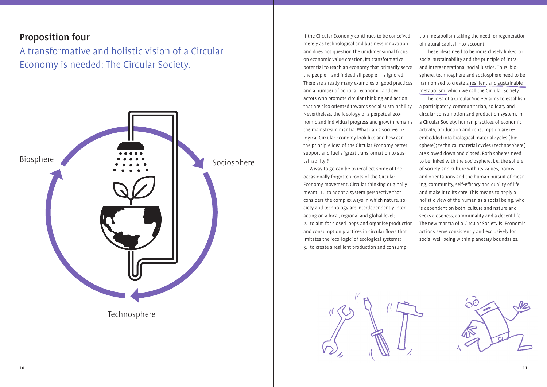### Proposition four

A transformative and holistic vision of a Circular Economy is needed: The Circular Society.

If the Circular Economy continues to be conceived merely as technological and business innovation and does not question the unidimensional focus on economic value creation, its transformative potential to reach an economy that primarily serve the people—and indeed all people—is ignored. There are already many examples of good practices and a number of political, economic and civic actors who promote circular thinking and action that are also oriented towards social sustainability. Nevertheless, the ideology of a perpetual economic and individual progress and growth remains the mainstream mantra. What can a socio-ecological Circular Economy look like and how can the principle idea of the Circular Economy better support and fuel a 'great transformation to sustainability'?

A way to go can be to recollect some of the occasionally forgotten roots of the Circular Economy movement. Circular thinking originally meant 1. to adopt a system perspective that considers the complex ways in which nature, society and technology are interdependently interacting on a local, regional and global level; 2. to aim for closed loops and organise production and consumption practices in circular flows that imitates the 'eco-logic' of ecological systems; 3. to create a resilient production and consump-



tion metabolism taking the need for regeneration of natural capital into account.

These ideas need to be more closely linked to social sustainability and the principle of intraand intergenerational social justice. Thus, biosphere, technosphere and sociosphere need to be harmonised to create a resilient and sustainable metabolism, which we call the Circular Society.

The idea of a Circular Society aims to establish a participatory, communitarian, solidary and circular consumption and production system. In a Circular Society, human practices of economic activity, production and consumption are reembedded into biological material cycles ( biosphere ); technical material cycles (technosphere ) are slowed down and closed. Both spheres need to be linked with the sociosphere, i.e. the sphere of society and culture with its values, norms and orientations and the human pursuit of meaning, community, self-efficacy and quality of life and make it to its core. This means to apply a holistic view of the human as a social being, who is dependent on both, culture and nature and seeks closeness, communality and a decent life. The new mantra of a Circular Society is: Economic actions serve consistently and exclusively for social well-being within planetary boundaries.



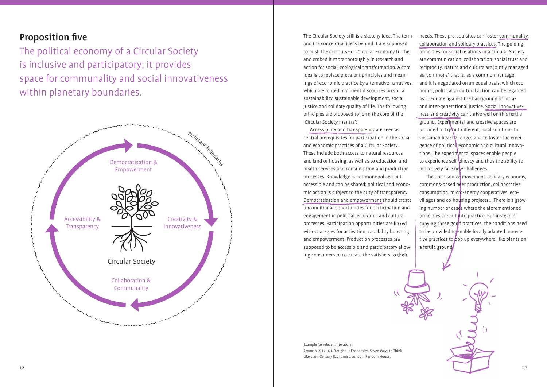## **Proposition five**

The political economy of a Circular Society is inclusive and participatory; it provides space for communality and social innovativeness within planetary boundaries.

> Accessibility and transparency are seen as central prerequisites for participation in the social and economic practices of a Circular Society. These include both access to natural resources and land or housing, as well as to education and health services and consumption and production processes. Knowledge is not monopolised but accessible and can be shared; political and economic action is subject to the duty of transparency. Democratisation and empowerment should create unconditional opportunities for participation and engagement in political, economic and cultural processes. Participation opportunities are linked with strategies for activation, capability boosting and empowerment. Production processes are supposed to be accessible and participatory allowing consumers to co-create the satisfiers to their



The Circular Society still is a sketchy idea. The term and the conceptual ideas behind it are supposed to push the discourse on Circular Economy further and embed it more thoroughly in research and action for social-ecological transformation. A core idea is to replace prevalent principles and meanings of economic practice by alternative narratives, which are rooted in current discourses on social sustainability, sustainable development, social justice and solidary quality of life. The following principles are proposed to form the core of the 'Circular Society mantra':

Example for relevant literature: Raworth, K. ( 2017 ). Doughnut Economics. Seven Ways to Think Like a 21st-Century Economist. London: Random House.

needs. These prerequisites can foster communality, collaboration and solidary practices. The guiding principles for social relations in a Circular Society are communication, collaboration, social trust and reciprocity. Nature and culture are jointly managed as 'commons' that is, as a common heritage, and it is negotiated on an equal basis, which economic, political or cultural action can be regarded as adequate against the background of intraand inter-generational justice. Social innovativeness and creativity can thrive well on this fertile ground. Experimental and creative spaces are provided to try out different, local solutions to sustainability challenges and to foster the emergence of political, economic and cultural innovations. The experimental spaces enable people to experience self-efficacy and thus the ability to proactively face new challenges.

The open source movement, solidary economy, commons-based peer production, collaborative consumption, micro-energy cooperatives, ecovillages and co-housing projects ... There is a growing number of cases where the aforementioned principles are put i<mark>nto practice. But instead of</mark> copying these good practices, the conditions need to be provided to enable locally adapted innovative practices to pop up everywhere, like plants on a fertile ground.

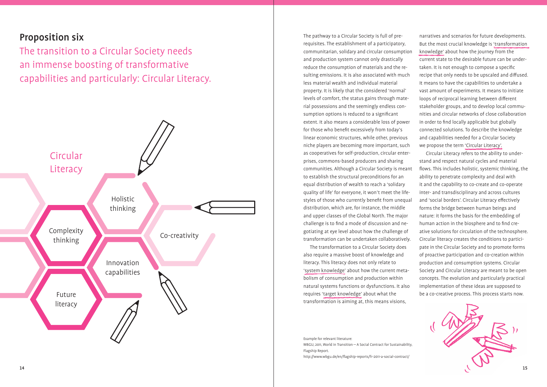## Proposition six

The transition to a Circular Society needs an immense boosting of transformative capabilities and particularly: Circular Literacy.



Example for relevant literature: WBGU, 2011, World in Transition—A Social Contract for Sustainability, Flagship Report. http://www.wbgu.de/en/flagship-reports/fr-2011-a-social-contract/

The pathway to a Circular Society is full of prerequisites. The establishment of a participatory, communitarian, solidary and circular consumption and production system cannot only drastically reduce the consumption of materials and the resulting emissions. It is also associated with much less material wealth and individual material property. It is likely that the considered 'normal' levels of comfort, the status gains through material possessions and the seemingly endless consumption options is reduced to a significant extent. It also means a considerable loss of power for those who benefit excessively from today's linear economic structures, while other, previous niche players are becoming more important, such as cooperatives for self-production, circular enterprises, commons-based producers and sharing communities. Although a Circular Society is meant to establish the structural preconditions for an equal distribution of wealth to reach a 'solidary quality of life' for everyone, it won't meet the lifestyles of those who currently benefit from unequal distribution, which are, for instance, the middle and upper classes of the Global North. The major challenge is to find a mode of discussion and negotiating at eye level about how the challenge of transformation can be undertaken collaboratively.

The transformation to a Circular Society does also require a massive boost of knowledge and literacy. This literacy does not only relate to 'system knowledge' about how the current metabolism of consumption and production within natural systems functions or dysfunctions. It also requires 'target knowledge' about what the transformation is aiming at, this means visions,

narratives and scenarios for future developments. But the most crucial knowledge is 'transformation knowledge' about how the journey from the current state to the desirable future can be undertaken. It is not enough to compose a specific recipe that only needs to be upscaled and diffused. It means to have the capabilities to undertake a vast amount of experiments. It means to initiate loops of reciprocal learning between different stakeholder groups, and to develop local communities and circular networks of close collaboration in order to find locally applicable but globally connected solutions. To describe the knowledge and capabilities needed for a Circular Society we propose the term 'Circular Literacy'.

Circular Literacy refers to the ability to understand and respect natural cycles and material flows. This includes holistic, systemic thinking, the ability to penetrate complexity and deal with it and the capability to co-create and co-operate inter- and transdisciplinary and across cultures and 'social borders'. Circular Literacy effectively forms the bridge between human beings and nature: it forms the basis for the embedding of human action in the biosphere and to find creative solutions for circulation of the technosphere. Circular literacy creates the conditions to participate in the Circular Society and to promote forms of proactive participation and co-creation within production and consumption systems. Circular Society and Circular Literacy are meant to be open concepts. The evolution and particularly practical implementation of these ideas are supposed to be a co-creative process. This process starts now.

 $\sim$  15